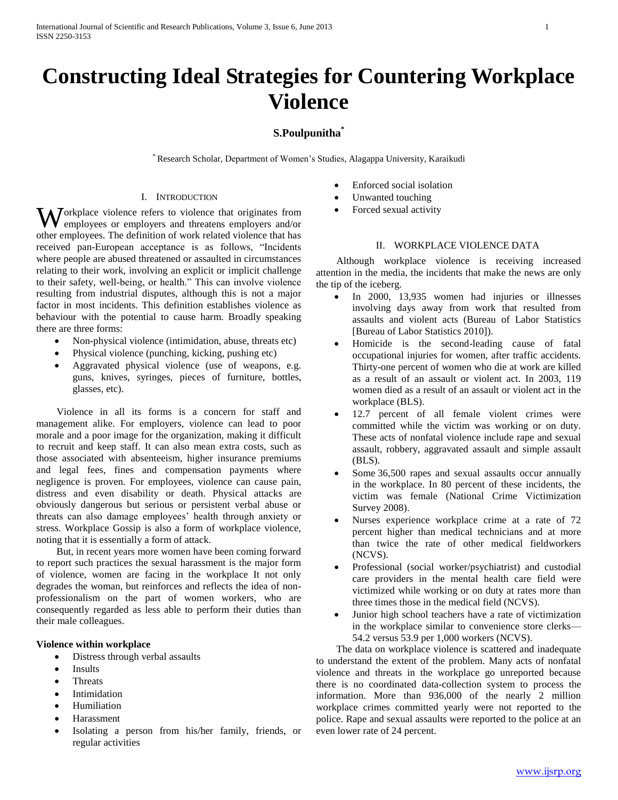# **Constructing Ideal Strategies for Countering Workplace Violence**

# **S.Poulpunitha\***

\* Research Scholar, Department of Women's Studies, Alagappa University, Karaikudi

#### I. INTRODUCTION

Workplace violence refers to violence that originates from<br>
employees or employers and threatens employers and/or employees or employers and threatens employers and/or other employees. The definition of work related violence that has received pan-European acceptance is as follows, "Incidents where people are abused threatened or assaulted in circumstances relating to their work, involving an explicit or implicit challenge to their safety, well-being, or health." This can involve violence resulting from industrial disputes, although this is not a major factor in most incidents. This definition establishes violence as behaviour with the potential to cause harm. Broadly speaking there are three forms:

- Non-physical violence (intimidation, abuse, threats etc)
- Physical violence (punching, kicking, pushing etc)
- Aggravated physical violence (use of weapons, e.g. guns, knives, syringes, pieces of furniture, bottles, glasses, etc).

 Violence in all its forms is a concern for staff and management alike. For employers, violence can lead to poor morale and a poor image for the organization, making it difficult to recruit and keep staff. It can also mean extra costs, such as those associated with absenteeism, higher insurance premiums and legal fees, fines and compensation payments where negligence is proven. For employees, violence can cause pain, distress and even disability or death. Physical attacks are obviously dangerous but serious or persistent verbal abuse or threats can also damage employees' health through anxiety or stress. Workplace Gossip is also a form of workplace violence, noting that it is essentially a form of attack.

 But, in recent years more women have been coming forward to report such practices the sexual harassment is the major form of violence, women are facing in the workplace It not only degrades the woman, but reinforces and reflects the idea of nonprofessionalism on the part of women workers, who are consequently regarded as less able to perform their duties than their male colleagues.

## **Violence within workplace**

- Distress through verbal assaults
- Insults
- **Threats**
- Intimidation
- Humiliation
- Harassment
- Isolating a person from his/her family, friends, or regular activities
- Enforced social isolation
- Unwanted touching
- Forced sexual activity

## II. WORKPLACE VIOLENCE DATA

 Although workplace violence is receiving increased attention in the media, the incidents that make the news are only the tip of the iceberg.

- In 2000, 13,935 women had injuries or illnesses involving days away from work that resulted from assaults and violent acts (Bureau of Labor Statistics [Bureau of Labor Statistics 2010]).
- Homicide is the second-leading cause of fatal occupational injuries for women, after traffic accidents. Thirty-one percent of women who die at work are killed as a result of an assault or violent act. In 2003, 119 women died as a result of an assault or violent act in the workplace (BLS).
- 12.7 percent of all female violent crimes were committed while the victim was working or on duty. These acts of nonfatal violence include rape and sexual assault, robbery, aggravated assault and simple assault (BLS).
- Some 36,500 rapes and sexual assaults occur annually in the workplace. In 80 percent of these incidents, the victim was female (National Crime Victimization Survey 2008).
- Nurses experience workplace crime at a rate of 72 percent higher than medical technicians and at more than twice the rate of other medical fieldworkers (NCVS).
- Professional (social worker/psychiatrist) and custodial care providers in the mental health care field were victimized while working or on duty at rates more than three times those in the medical field (NCVS).
- Junior high school teachers have a rate of victimization in the workplace similar to convenience store clerks— 54.2 versus 53.9 per 1,000 workers (NCVS).

 The data on workplace violence is scattered and inadequate to understand the extent of the problem. Many acts of nonfatal violence and threats in the workplace go unreported because there is no coordinated data-collection system to process the information. More than 936,000 of the nearly 2 million workplace crimes committed yearly were not reported to the police. Rape and sexual assaults were reported to the police at an even lower rate of 24 percent.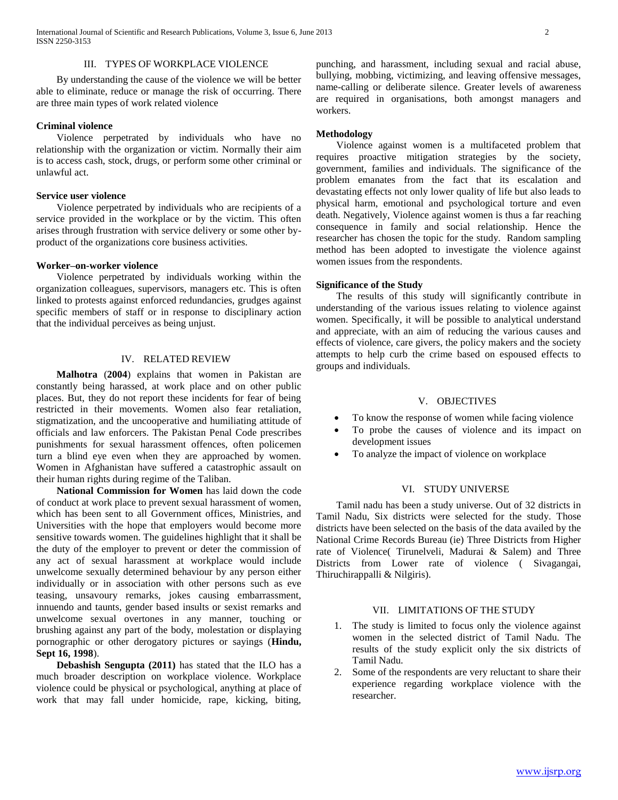International Journal of Scientific and Research Publications, Volume 3, Issue 6, June 2013 2 ISSN 2250-3153

#### III. TYPES OF WORKPLACE VIOLENCE

 By understanding the cause of the violence we will be better able to eliminate, reduce or manage the risk of occurring. There are three main types of work related violence

#### **Criminal violence**

 Violence perpetrated by individuals who have no relationship with the organization or victim. Normally their aim is to access cash, stock, drugs, or perform some other criminal or unlawful act.

#### **Service user violence**

 Violence perpetrated by individuals who are recipients of a service provided in the workplace or by the victim. This often arises through frustration with service delivery or some other byproduct of the organizations core business activities.

#### **Worker–on-worker violence**

 Violence perpetrated by individuals working within the organization colleagues, supervisors, managers etc. This is often linked to protests against enforced redundancies, grudges against specific members of staff or in response to disciplinary action that the individual perceives as being unjust.

#### IV. RELATED REVIEW

 **Malhotra** (**2004**) explains that women in Pakistan are constantly being harassed, at work place and on other public places. But, they do not report these incidents for fear of being restricted in their movements. Women also fear retaliation, stigmatization, and the uncooperative and humiliating attitude of officials and law enforcers. The Pakistan Penal Code prescribes punishments for sexual harassment offences, often policemen turn a blind eye even when they are approached by women. Women in Afghanistan have suffered a catastrophic assault on their human rights during regime of the Taliban.

 **National Commission for Women** has laid down the code of conduct at work place to prevent sexual harassment of women, which has been sent to all Government offices, Ministries, and Universities with the hope that employers would become more sensitive towards women. The guidelines highlight that it shall be the duty of the employer to prevent or deter the commission of any act of sexual harassment at workplace would include unwelcome sexually determined behaviour by any person either individually or in association with other persons such as eve teasing, unsavoury remarks, jokes causing embarrassment, innuendo and taunts, gender based insults or sexist remarks and unwelcome sexual overtones in any manner, touching or brushing against any part of the body, molestation or displaying pornographic or other derogatory pictures or sayings (**Hindu, Sept 16, 1998**).

 **Debashish Sengupta (2011)** has stated that the ILO has a much broader description on workplace violence. Workplace violence could be physical or psychological, anything at place of work that may fall under homicide, rape, kicking, biting,

punching, and harassment, including sexual and racial abuse, bullying, mobbing, victimizing, and leaving offensive messages, name-calling or deliberate silence. Greater levels of awareness are required in organisations, both amongst managers and workers.

#### **Methodology**

 Violence against women is a multifaceted problem that requires proactive mitigation strategies by the society, government, families and individuals. The significance of the problem emanates from the fact that its escalation and devastating effects not only lower quality of life but also leads to physical harm, emotional and psychological torture and even death. Negatively, Violence against women is thus a far reaching consequence in family and social relationship. Hence the researcher has chosen the topic for the study. Random sampling method has been adopted to investigate the violence against women issues from the respondents.

#### **Significance of the Study**

 The results of this study will significantly contribute in understanding of the various issues relating to violence against women. Specifically, it will be possible to analytical understand and appreciate, with an aim of reducing the various causes and effects of violence, care givers, the policy makers and the society attempts to help curb the crime based on espoused effects to groups and individuals.

#### V. OBJECTIVES

- To know the response of women while facing violence
- To probe the causes of violence and its impact on development issues
- To analyze the impact of violence on workplace

#### VI. STUDY UNIVERSE

 Tamil nadu has been a study universe. Out of 32 districts in Tamil Nadu, Six districts were selected for the study. Those districts have been selected on the basis of the data availed by the National Crime Records Bureau (ie) Three Districts from Higher rate of Violence( Tirunelveli, Madurai & Salem) and Three Districts from Lower rate of violence ( Sivagangai, Thiruchirappalli & Nilgiris).

## VII. LIMITATIONS OF THE STUDY

- 1. The study is limited to focus only the violence against women in the selected district of Tamil Nadu. The results of the study explicit only the six districts of Tamil Nadu.
- 2. Some of the respondents are very reluctant to share their experience regarding workplace violence with the researcher.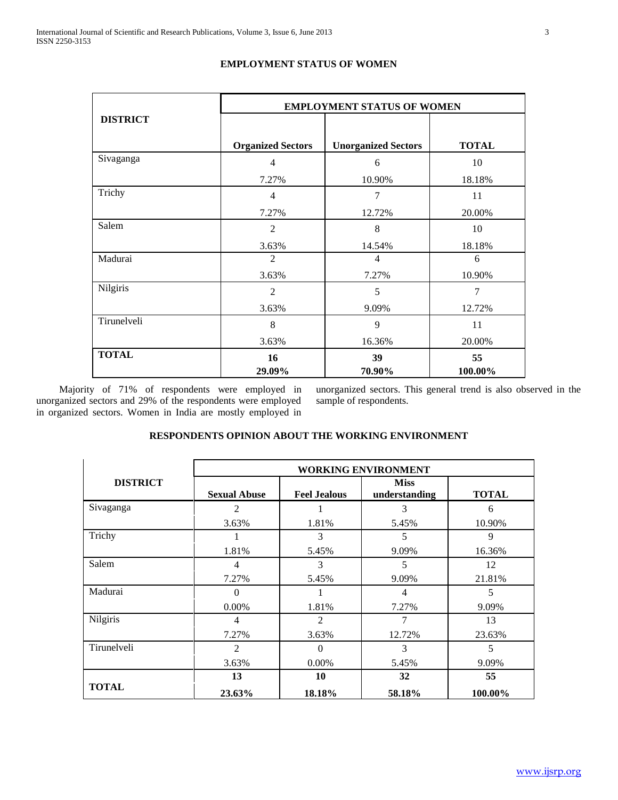|                 | <b>EMPLOYMENT STATUS OF WOMEN</b> |                            |                |  |  |  |
|-----------------|-----------------------------------|----------------------------|----------------|--|--|--|
| <b>DISTRICT</b> |                                   |                            |                |  |  |  |
|                 | <b>Organized Sectors</b>          | <b>Unorganized Sectors</b> | <b>TOTAL</b>   |  |  |  |
| Sivaganga       | $\overline{4}$                    | 6                          | 10             |  |  |  |
|                 | 7.27%                             | 10.90%                     | 18.18%         |  |  |  |
| Trichy          | $\overline{4}$                    | $\overline{7}$             | 11             |  |  |  |
|                 | 7.27%                             | 12.72%                     | 20.00%         |  |  |  |
| Salem           | $\overline{2}$                    | 8                          | 10             |  |  |  |
|                 | 3.63%                             | 14.54%                     | 18.18%         |  |  |  |
| Madurai         | $\overline{c}$                    | 4                          | 6              |  |  |  |
|                 | 3.63%                             | 7.27%                      | 10.90%         |  |  |  |
| Nilgiris        | $\overline{c}$                    | 5                          | $\overline{7}$ |  |  |  |
|                 | 3.63%                             | 9.09%                      | 12.72%         |  |  |  |
| Tirunelveli     | 8                                 | 9                          | 11             |  |  |  |
|                 | 3.63%                             | 16.36%                     | 20.00%         |  |  |  |
| <b>TOTAL</b>    | 16                                | 39                         | 55             |  |  |  |
|                 | 29.09%                            | 70.90%                     | 100.00%        |  |  |  |

# **EMPLOYMENT STATUS OF WOMEN**

Majority of 71% of respondents were employed in unorganized sectors and 29% of the respondents were employed in organized sectors. Women in India are mostly employed in unorganized sectors. This general trend is also observed in the sample of respondents.

# **RESPONDENTS OPINION ABOUT THE WORKING ENVIRONMENT**

|                 | <b>WORKING ENVIRONMENT</b> |                     |                              |              |  |  |
|-----------------|----------------------------|---------------------|------------------------------|--------------|--|--|
| <b>DISTRICT</b> | <b>Sexual Abuse</b>        | <b>Feel Jealous</b> | <b>Miss</b><br>understanding | <b>TOTAL</b> |  |  |
| Sivaganga       | 2                          |                     | 3                            | 6            |  |  |
|                 | 3.63%                      | 1.81%               | 5.45%                        | 10.90%       |  |  |
| Trichy          |                            | 3                   | 5                            | 9            |  |  |
|                 | 1.81%                      | 5.45%               | 9.09%                        | 16.36%       |  |  |
| Salem           | 4                          | 3                   | 5                            | 12           |  |  |
|                 | 7.27%                      | 5.45%               | 9.09%                        | 21.81%       |  |  |
| Madurai         | 0                          |                     | 4                            | 5            |  |  |
|                 | $0.00\%$                   | 1.81%               | 7.27%                        | 9.09%        |  |  |
| Nilgiris        | 4                          | $\mathfrak{D}$      | 7                            | 13           |  |  |
|                 | 7.27%                      | 3.63%               | 12.72%                       | 23.63%       |  |  |
| Tirunelveli     | $\overline{2}$             | 0                   | 3                            | 5            |  |  |
|                 | 3.63%                      | $0.00\%$            | 5.45%                        | 9.09%        |  |  |
|                 | 13                         | 10                  | 32                           | 55           |  |  |
| <b>TOTAL</b>    | 23.63%                     | 18.18%              | 58.18%                       | 100.00%      |  |  |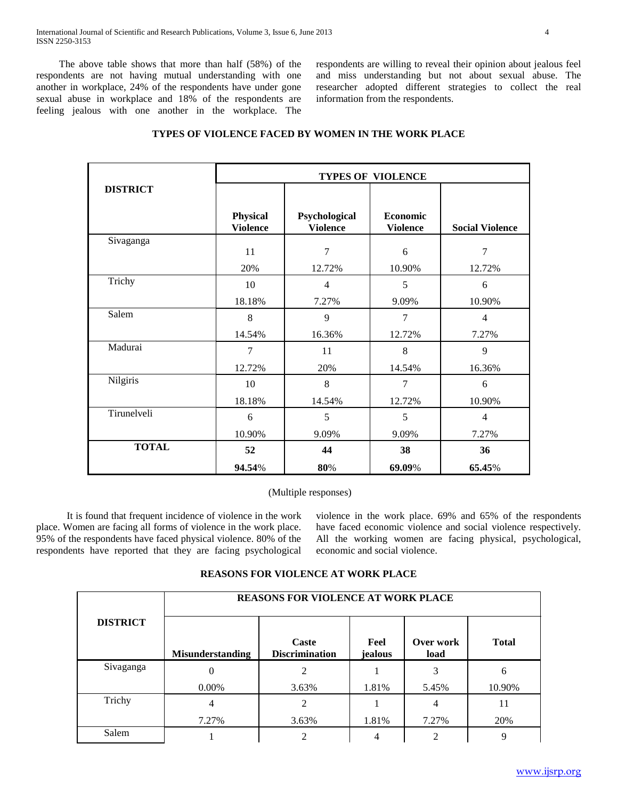The above table shows that more than half (58%) of the respondents are not having mutual understanding with one another in workplace, 24% of the respondents have under gone sexual abuse in workplace and 18% of the respondents are feeling jealous with one another in the workplace. The respondents are willing to reveal their opinion about jealous feel and miss understanding but not about sexual abuse. The researcher adopted different strategies to collect the real information from the respondents.

|                 | <b>TYPES OF VIOLENCE</b>           |                                  |                             |                        |  |  |
|-----------------|------------------------------------|----------------------------------|-----------------------------|------------------------|--|--|
| <b>DISTRICT</b> |                                    |                                  |                             |                        |  |  |
|                 | <b>Physical</b><br><b>Violence</b> | Psychological<br><b>Violence</b> | Economic<br><b>Violence</b> | <b>Social Violence</b> |  |  |
| Sivaganga       | 11                                 | 7                                | 6                           | 7                      |  |  |
| Trichy          | 20%<br>10                          | 12.72%<br>4                      | 10.90%<br>5                 | 12.72%<br>6            |  |  |
|                 | 18.18%                             | 7.27%                            | 9.09%                       | 10.90%                 |  |  |
| Salem           | 8                                  | 9                                | 7                           | $\overline{4}$         |  |  |
|                 | 14.54%                             | 16.36%                           | 12.72%                      | 7.27%                  |  |  |
| Madurai         | $\overline{7}$                     | 11                               | 8                           | 9                      |  |  |
|                 | 12.72%                             | 20%                              | 14.54%                      | 16.36%                 |  |  |
| Nilgiris        | 10                                 | $8\,$                            | 7                           | 6                      |  |  |
|                 | 18.18%                             | 14.54%                           | 12.72%                      | 10.90%                 |  |  |
| Tirunelveli     | 6                                  | 5                                | 5                           | $\overline{4}$         |  |  |
|                 | 10.90%                             | 9.09%                            | 9.09%                       | 7.27%                  |  |  |
| <b>TOTAL</b>    | 52                                 | 44                               | 38                          | 36                     |  |  |
|                 | 94.54%                             | 80%                              | 69.09%                      | 65.45%                 |  |  |

## **TYPES OF VIOLENCE FACED BY WOMEN IN THE WORK PLACE**

(Multiple responses)

 It is found that frequent incidence of violence in the work place. Women are facing all forms of violence in the work place. 95% of the respondents have faced physical violence. 80% of the respondents have reported that they are facing psychological

violence in the work place. 69% and 65% of the respondents have faced economic violence and social violence respectively. All the working women are facing physical, psychological, economic and social violence.

## **REASONS FOR VIOLENCE AT WORK PLACE**

|                 | <b>REASONS FOR VIOLENCE AT WORK PLACE</b> |                                |                 |                   |              |  |  |
|-----------------|-------------------------------------------|--------------------------------|-----------------|-------------------|--------------|--|--|
| <b>DISTRICT</b> | <b>Misunderstanding</b>                   | Caste<br><b>Discrimination</b> | Feel<br>jealous | Over work<br>load | <b>Total</b> |  |  |
| Sivaganga       |                                           |                                |                 |                   | 6            |  |  |
|                 | $0.00\%$                                  | 3.63%                          | 1.81%           | 5.45%             | 10.90%       |  |  |
| Trichy          | 4                                         | 2                              |                 | 4                 | 11           |  |  |
|                 | 7.27%                                     | 3.63%                          | 1.81%           | 7.27%             | 20%          |  |  |
| Salem           |                                           |                                |                 |                   | 9            |  |  |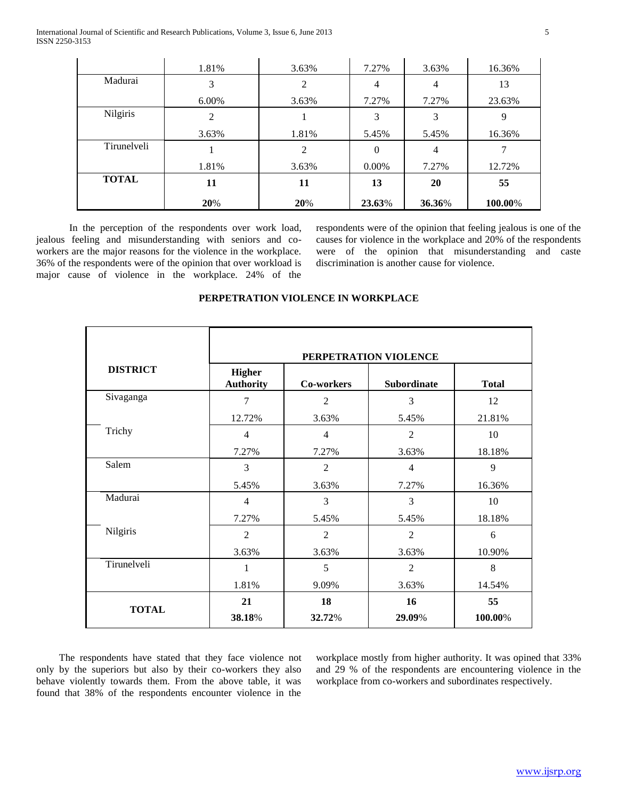International Journal of Scientific and Research Publications, Volume 3, Issue 6, June 2013 5 ISSN 2250-3153

|                 | 1.81% | 3.63% | 7.27%  | 3.63%          | 16.36%  |
|-----------------|-------|-------|--------|----------------|---------|
| Madurai         | 3     | 2     | 4      | 4              | 13      |
|                 | 6.00% | 3.63% | 7.27%  | 7.27%          | 23.63%  |
| <b>Nilgiris</b> | 2     |       | 3      | 3              | 9       |
|                 | 3.63% | 1.81% | 5.45%  | 5.45%          | 16.36%  |
| Tirunelveli     |       | 2     | 0      | $\overline{4}$ |         |
|                 | 1.81% | 3.63% | 0.00%  | 7.27%          | 12.72%  |
| <b>TOTAL</b>    | 11    | 11    | 13     | 20             | 55      |
|                 | 20%   | 20%   | 23.63% | 36.36%         | 100.00% |

In the perception of the respondents over work load, jealous feeling and misunderstanding with seniors and coworkers are the major reasons for the violence in the workplace. 36% of the respondents were of the opinion that over workload is major cause of violence in the workplace. 24% of the

respondents were of the opinion that feeling jealous is one of the causes for violence in the workplace and 20% of the respondents were of the opinion that misunderstanding and caste discrimination is another cause for violence.

|                 |                                   | PERPETRATION VIOLENCE            |                    |              |  |  |  |  |
|-----------------|-----------------------------------|----------------------------------|--------------------|--------------|--|--|--|--|
| <b>DISTRICT</b> | <b>Higher</b><br><b>Authority</b> | Co-workers                       | <b>Subordinate</b> | <b>Total</b> |  |  |  |  |
| Sivaganga       | 7                                 | $\overline{2}$                   | 3                  | 12           |  |  |  |  |
|                 | 12.72%                            | 3.63%                            | 5.45%              | 21.81%       |  |  |  |  |
| Trichy          | $\overline{4}$                    | $\overline{4}$                   | $\overline{2}$     | 10           |  |  |  |  |
|                 | 7.27%                             | 7.27%                            | 3.63%              | 18.18%       |  |  |  |  |
| Salem           | 3                                 | $\overline{2}$<br>$\overline{4}$ |                    | 9            |  |  |  |  |
|                 | 5.45%                             | 3.63%                            | 7.27%              | 16.36%       |  |  |  |  |
| Madurai         | $\overline{4}$                    | 3                                | 3                  | 10           |  |  |  |  |
|                 | 7.27%                             | 5.45%                            | 5.45%              | 18.18%       |  |  |  |  |
| Nilgiris        | $\overline{2}$                    | $\overline{2}$                   | $\overline{2}$     | 6            |  |  |  |  |
|                 | 3.63%                             | 3.63%                            | 3.63%              | 10.90%       |  |  |  |  |
| Tirunelveli     | 1                                 | 5                                | $\overline{2}$     | 8            |  |  |  |  |
|                 | 1.81%                             | 9.09%                            | 3.63%              | 14.54%       |  |  |  |  |
|                 | 21                                | 18                               | 16                 | 55           |  |  |  |  |
| <b>TOTAL</b>    | 38.18%                            | 32.72%                           | 29.09%             | 100.00%      |  |  |  |  |

### **PERPETRATION VIOLENCE IN WORKPLACE**

 The respondents have stated that they face violence not only by the superiors but also by their co-workers they also behave violently towards them. From the above table, it was found that 38% of the respondents encounter violence in the

workplace mostly from higher authority. It was opined that 33% and 29 % of the respondents are encountering violence in the workplace from co-workers and subordinates respectively.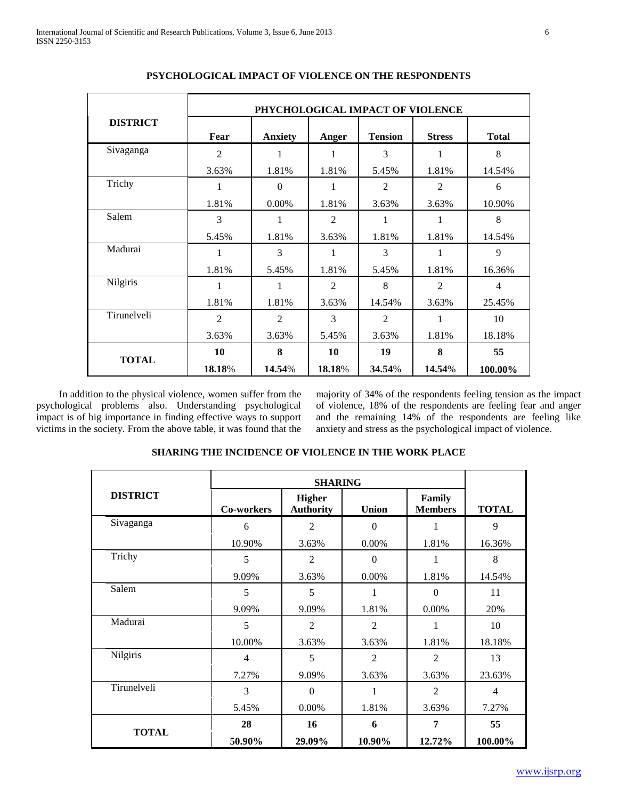|                 | PHYCHOLOGICAL IMPACT OF VIOLENCE |                |                |                |                |                |
|-----------------|----------------------------------|----------------|----------------|----------------|----------------|----------------|
| <b>DISTRICT</b> | Fear                             | <b>Anxiety</b> | Anger          | <b>Tension</b> | <b>Stress</b>  | <b>Total</b>   |
| Sivaganga       | $\overline{2}$                   | 1              | 1              | 3              | 1              | 8              |
|                 | 3.63%                            | 1.81%          | 1.81%          | 5.45%          | 1.81%          | 14.54%         |
| Trichy          | $\mathbf{1}$                     | $\theta$       | 1              | $\mathfrak{D}$ | $\mathfrak{D}$ | 6              |
|                 | 1.81%                            | 0.00%          | 1.81%          | 3.63%          | 3.63%          | 10.90%         |
| Salem           | 3                                | 1              | $\overline{2}$ | 1              | 1              | 8              |
|                 | 5.45%                            | 1.81%          | 3.63%          | 1.81%          | 1.81%          | 14.54%         |
| Madurai         | 1                                | 3              | 1              | 3              | 1              | 9              |
|                 | 1.81%                            | 5.45%          | 1.81%          | 5.45%          | 1.81%          | 16.36%         |
| Nilgiris        | 1                                | 1              | $\mathfrak{D}$ | 8              | $\mathfrak{D}$ | $\overline{4}$ |
|                 | 1.81%                            | 1.81%          | 3.63%          | 14.54%         | 3.63%          | 25.45%         |
| Tirunelveli     | $\overline{2}$                   | $\overline{2}$ | 3              | $\overline{2}$ | 1              | 10             |
|                 | 3.63%                            | 3.63%          | 5.45%          | 3.63%          | 1.81%          | 18.18%         |
| <b>TOTAL</b>    | 10                               | 8              | 10             | 19             | 8              | 55             |
|                 | 18.18%                           | 14.54%         | 18.18%         | 34.54%         | 14.54%         | 100.00%        |

## **PSYCHOLOGICAL IMPACT OF VIOLENCE ON THE RESPONDENTS**

In addition to the physical violence, women suffer from the psychological problems also. Understanding psychological impact is of big importance in finding effective ways to support victims in the society. From the above table, it was found that the

majority of 34% of the respondents feeling tension as the impact of violence, 18% of the respondents are feeling fear and anger and the remaining 14% of the respondents are feeling like anxiety and stress as the psychological impact of violence.

| <b>DISTRICT</b> | Co-workers     | <b>Higher</b><br><b>Authority</b> | <b>Union</b>   | Family<br><b>Members</b> | <b>TOTAL</b>   |
|-----------------|----------------|-----------------------------------|----------------|--------------------------|----------------|
| Sivaganga       | 6              | $\overline{2}$                    | $\Omega$       |                          | 9              |
|                 | 10.90%         | 3.63%                             | 0.00%          | 1.81%                    | 16.36%         |
| Trichy          | 5              | 2                                 | $\overline{0}$ |                          | 8              |
|                 | 9.09%          | 3.63%                             | 0.00%          | 1.81%                    | 14.54%         |
| Salem           | 5              | 5                                 | 1              | $\Omega$                 | 11             |
|                 | 9.09%          | 9.09%                             | 1.81%          | 0.00%                    | 20%            |
| Madurai         | 5              | $\overline{2}$                    | $\overline{2}$ |                          | 10             |
|                 | 10.00%         | 3.63%                             | 3.63%          | 1.81%                    | 18.18%         |
| Nilgiris        | $\overline{4}$ | 5                                 | $\overline{2}$ | $\mathfrak{D}$           | 13             |
|                 | 7.27%          | 9.09%                             | 3.63%          | 3.63%                    | 23.63%         |
| Tirunelveli     | 3              | $\theta$                          | 1              | $\overline{2}$           | $\overline{4}$ |
|                 | 5.45%          | 0.00%                             | 1.81%          | 3.63%                    | 7.27%          |
| <b>TOTAL</b>    | 28             | 16                                | 6              | 7                        | 55             |
|                 | 50.90%         | 29.09%                            | 10.90%         | 12.72%                   | 100.00%        |

## **SHARING THE INCIDENCE OF VIOLENCE IN THE WORK PLACE**